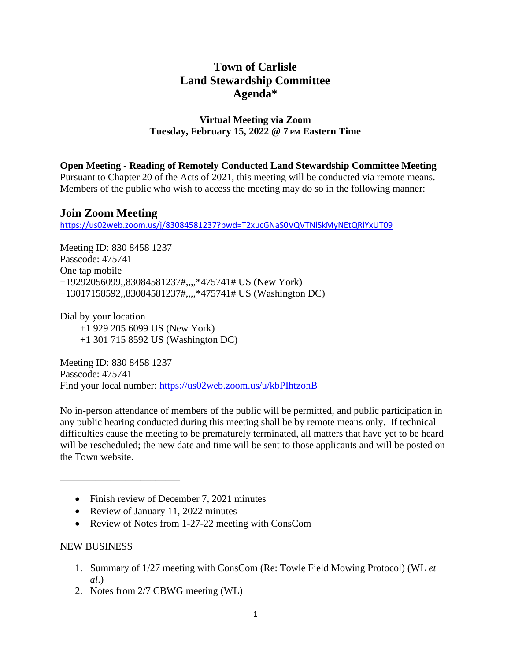# **Town of Carlisle Land Stewardship Committee Agenda\***

## **Virtual Meeting via Zoom Tuesday, February 15, 2022 @ 7 PM Eastern Time**

### **Open Meeting - Reading of Remotely Conducted Land Stewardship Committee Meeting**

Pursuant to Chapter 20 of the Acts of 2021, this meeting will be conducted via remote means. Members of the public who wish to access the meeting may do so in the following manner:

# **Join Zoom Meeting**

<https://us02web.zoom.us/j/83084581237?pwd=T2xucGNaS0VQVTNlSkMyNEtQRlYxUT09>

Meeting ID: 830 8458 1237 Passcode: 475741 One tap mobile +19292056099,,83084581237#,,,,\*475741# US (New York) +13017158592,,83084581237#,,,,\*475741# US (Washington DC)

Dial by your location +1 929 205 6099 US (New York) +1 301 715 8592 US (Washington DC)

Meeting ID: 830 8458 1237 Passcode: 475741 Find your local number: <https://us02web.zoom.us/u/kbPIhtzonB>

No in-person attendance of members of the public will be permitted, and public participation in any public hearing conducted during this meeting shall be by remote means only. If technical difficulties cause the meeting to be prematurely terminated, all matters that have yet to be heard will be rescheduled; the new date and time will be sent to those applicants and will be posted on the Town website.

- Finish review of December 7, 2021 minutes
- Review of January 11, 2022 minutes
- Review of Notes from 1-27-22 meeting with ConsCom

## NEW BUSINESS

\_\_\_\_\_\_\_\_\_\_\_\_\_\_\_\_\_\_\_\_\_\_\_\_

- 1. Summary of 1/27 meeting with ConsCom (Re: Towle Field Mowing Protocol) (WL *et al*.)
- 2. Notes from 2/7 CBWG meeting (WL)